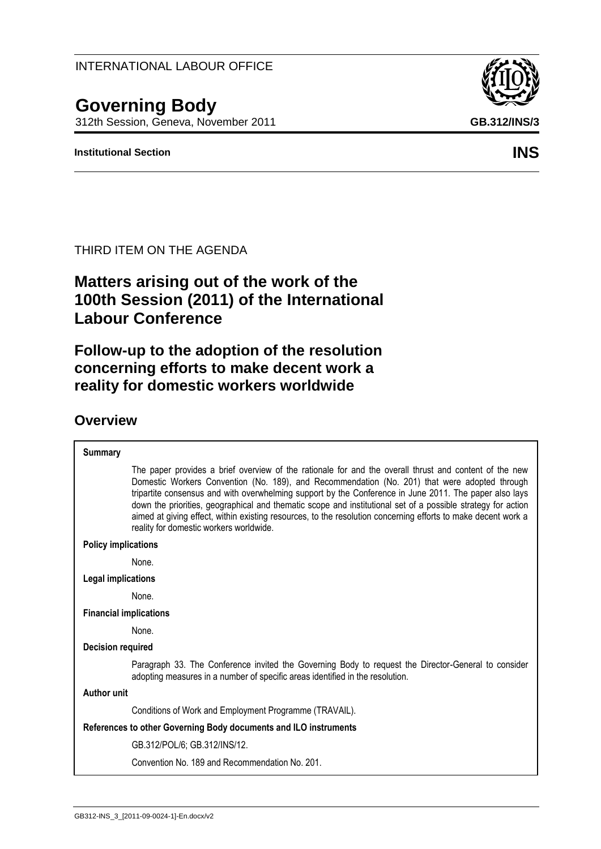INTERNATIONAL LABOUR OFFICE

# **Governing Body**

312th Session, Geneva, November 2011 **GB.312/INS/3**

#### **Institutional Section INS**

#### THIRD ITEM ON THE AGENDA

## **Matters arising out of the work of the 100th Session (2011) of the International Labour Conference**

**Follow-up to the adoption of the resolution concerning efforts to make decent work a reality for domestic workers worldwide**

### **Overview**

| <b>Summary</b>                                                                                                                                                                                                                                                                                                                                                                                                                                                                                                                                                                                |  |  |  |
|-----------------------------------------------------------------------------------------------------------------------------------------------------------------------------------------------------------------------------------------------------------------------------------------------------------------------------------------------------------------------------------------------------------------------------------------------------------------------------------------------------------------------------------------------------------------------------------------------|--|--|--|
| The paper provides a brief overview of the rationale for and the overall thrust and content of the new<br>Domestic Workers Convention (No. 189), and Recommendation (No. 201) that were adopted through<br>tripartite consensus and with overwhelming support by the Conference in June 2011. The paper also lays<br>down the priorities, geographical and thematic scope and institutional set of a possible strategy for action<br>aimed at giving effect, within existing resources, to the resolution concerning efforts to make decent work a<br>reality for domestic workers worldwide. |  |  |  |
| <b>Policy implications</b>                                                                                                                                                                                                                                                                                                                                                                                                                                                                                                                                                                    |  |  |  |
| None.                                                                                                                                                                                                                                                                                                                                                                                                                                                                                                                                                                                         |  |  |  |
| <b>Legal implications</b>                                                                                                                                                                                                                                                                                                                                                                                                                                                                                                                                                                     |  |  |  |
| None.                                                                                                                                                                                                                                                                                                                                                                                                                                                                                                                                                                                         |  |  |  |
| <b>Financial implications</b>                                                                                                                                                                                                                                                                                                                                                                                                                                                                                                                                                                 |  |  |  |
| None.                                                                                                                                                                                                                                                                                                                                                                                                                                                                                                                                                                                         |  |  |  |
| <b>Decision required</b>                                                                                                                                                                                                                                                                                                                                                                                                                                                                                                                                                                      |  |  |  |
| Paragraph 33. The Conference invited the Governing Body to request the Director-General to consider<br>adopting measures in a number of specific areas identified in the resolution.                                                                                                                                                                                                                                                                                                                                                                                                          |  |  |  |
| <b>Author unit</b>                                                                                                                                                                                                                                                                                                                                                                                                                                                                                                                                                                            |  |  |  |
| Conditions of Work and Employment Programme (TRAVAIL).                                                                                                                                                                                                                                                                                                                                                                                                                                                                                                                                        |  |  |  |
| References to other Governing Body documents and ILO instruments                                                                                                                                                                                                                                                                                                                                                                                                                                                                                                                              |  |  |  |
| GB.312/POL/6; GB.312/INS/12.                                                                                                                                                                                                                                                                                                                                                                                                                                                                                                                                                                  |  |  |  |
| Convention No. 189 and Recommendation No. 201.                                                                                                                                                                                                                                                                                                                                                                                                                                                                                                                                                |  |  |  |
|                                                                                                                                                                                                                                                                                                                                                                                                                                                                                                                                                                                               |  |  |  |

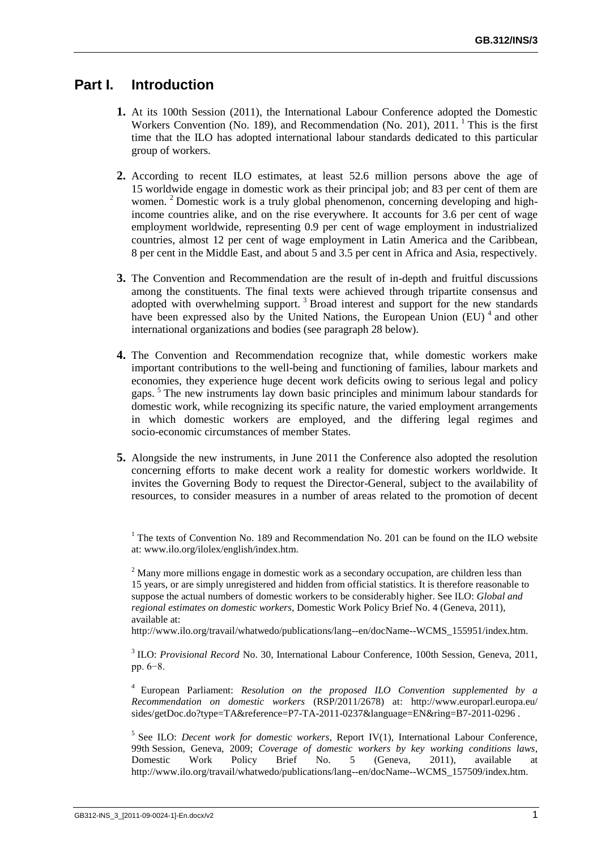#### **Part I. Introduction**

- **1.** At its 100th Session (2011), the International Labour Conference adopted the Domestic Workers Convention (No. 189), and Recommendation (No. 201), 2011. <sup>1</sup> This is the first time that the ILO has adopted international labour standards dedicated to this particular group of workers.
- **2.** According to recent ILO estimates, at least 52.6 million persons above the age of 15 worldwide engage in domestic work as their principal job; and 83 per cent of them are women. <sup>2</sup> Domestic work is a truly global phenomenon, concerning developing and highincome countries alike, and on the rise everywhere. It accounts for 3.6 per cent of wage employment worldwide, representing 0.9 per cent of wage employment in industrialized countries, almost 12 per cent of wage employment in Latin America and the Caribbean, 8 per cent in the Middle East, and about 5 and 3.5 per cent in Africa and Asia, respectively.
- **3.** The Convention and Recommendation are the result of in-depth and fruitful discussions among the constituents. The final texts were achieved through tripartite consensus and adopted with overwhelming support.<sup>3</sup> Broad interest and support for the new standards have been expressed also by the United Nations, the European Union (EU)<sup>4</sup> and other international organizations and bodies (see paragraph 28 below).
- **4.** The Convention and Recommendation recognize that, while domestic workers make important contributions to the well-being and functioning of families, labour markets and economies, they experience huge decent work deficits owing to serious legal and policy gaps. <sup>5</sup> The new instruments lay down basic principles and minimum labour standards for domestic work, while recognizing its specific nature, the varied employment arrangements in which domestic workers are employed, and the differing legal regimes and socio-economic circumstances of member States.
- **5.** Alongside the new instruments, in June 2011 the Conference also adopted the resolution concerning efforts to make decent work a reality for domestic workers worldwide. It invites the Governing Body to request the Director-General, subject to the availability of resources, to consider measures in a number of areas related to the promotion of decent

http://www.ilo.org/travail/whatwedo/publications/lang--en/docName--WCMS\_155951/index.htm.

<sup>3</sup> ILO: *Provisional Record* No. 30, International Labour Conference, 100th Session, Geneva, 2011, pp. 6−8.

<sup>4</sup> European Parliament: *Resolution on the proposed ILO Convention supplemented by a Recommendation on domestic workers* (RSP/2011/2678) at: http://www.europarl.europa.eu/ sides/getDoc.do?type=TA&reference=P7-TA-2011-0237&language=EN&ring=B7-2011-0296 .

<sup>5</sup> See ILO: *Decent work for domestic workers*, Report IV(1), International Labour Conference, 99th Session, Geneva, 2009; *Coverage of domestic workers by key working conditions laws*, Domestic Work Policy Brief No. 5 (Geneva, 2011), available at http://www.ilo.org/travail/whatwedo/publications/lang--en/docName--WCMS\_157509/index.htm.

 $1$ <sup>1</sup> The texts of Convention No. 189 and Recommendation No. 201 can be found on the ILO website at: www.ilo.org/ilolex/english/index.htm.

<sup>&</sup>lt;sup>2</sup> Many more millions engage in domestic work as a secondary occupation, are children less than 15 years, or are simply unregistered and hidden from official statistics. It is therefore reasonable to suppose the actual numbers of domestic workers to be considerably higher. See ILO: *Global and regional estimates on domestic workers*, Domestic Work Policy Brief No. 4 (Geneva, 2011), available at: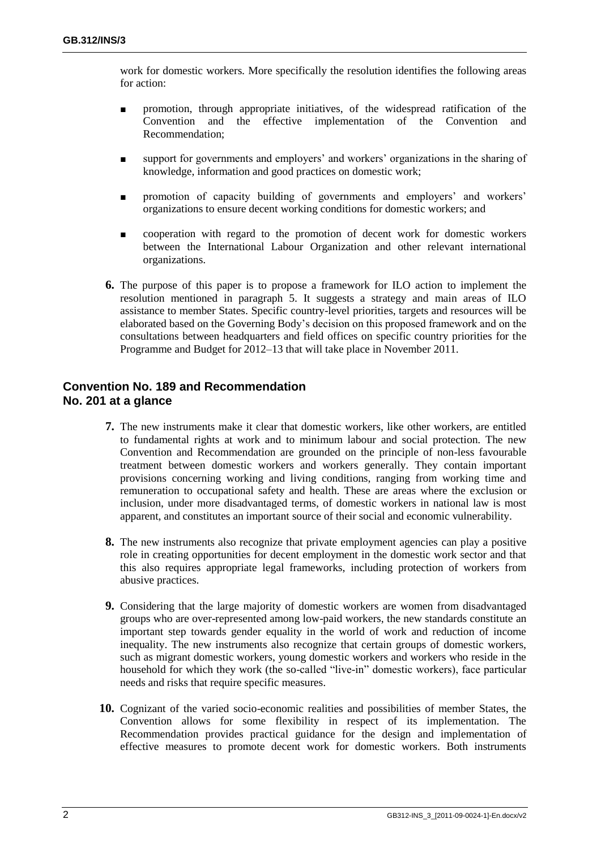work for domestic workers. More specifically the resolution identifies the following areas for action:

- promotion, through appropriate initiatives, of the widespread ratification of the Convention and the effective implementation of the Convention and Recommendation;
- support for governments and employers' and workers' organizations in the sharing of knowledge, information and good practices on domestic work;
- promotion of capacity building of governments and employers' and workers' organizations to ensure decent working conditions for domestic workers; and
- cooperation with regard to the promotion of decent work for domestic workers between the International Labour Organization and other relevant international organizations.
- **6.** The purpose of this paper is to propose a framework for ILO action to implement the resolution mentioned in paragraph 5. It suggests a strategy and main areas of ILO assistance to member States. Specific country-level priorities, targets and resources will be elaborated based on the Governing Body's decision on this proposed framework and on the consultations between headquarters and field offices on specific country priorities for the Programme and Budget for 2012–13 that will take place in November 2011.

#### **Convention No. 189 and Recommendation No. 201 at a glance**

- **7.** The new instruments make it clear that domestic workers, like other workers, are entitled to fundamental rights at work and to minimum labour and social protection. The new Convention and Recommendation are grounded on the principle of non-less favourable treatment between domestic workers and workers generally. They contain important provisions concerning working and living conditions, ranging from working time and remuneration to occupational safety and health. These are areas where the exclusion or inclusion, under more disadvantaged terms, of domestic workers in national law is most apparent, and constitutes an important source of their social and economic vulnerability.
- **8.** The new instruments also recognize that private employment agencies can play a positive role in creating opportunities for decent employment in the domestic work sector and that this also requires appropriate legal frameworks, including protection of workers from abusive practices.
- **9.** Considering that the large majority of domestic workers are women from disadvantaged groups who are over-represented among low-paid workers, the new standards constitute an important step towards gender equality in the world of work and reduction of income inequality. The new instruments also recognize that certain groups of domestic workers, such as migrant domestic workers, young domestic workers and workers who reside in the household for which they work (the so-called "live-in" domestic workers), face particular needs and risks that require specific measures.
- **10.** Cognizant of the varied socio-economic realities and possibilities of member States, the Convention allows for some flexibility in respect of its implementation. The Recommendation provides practical guidance for the design and implementation of effective measures to promote decent work for domestic workers. Both instruments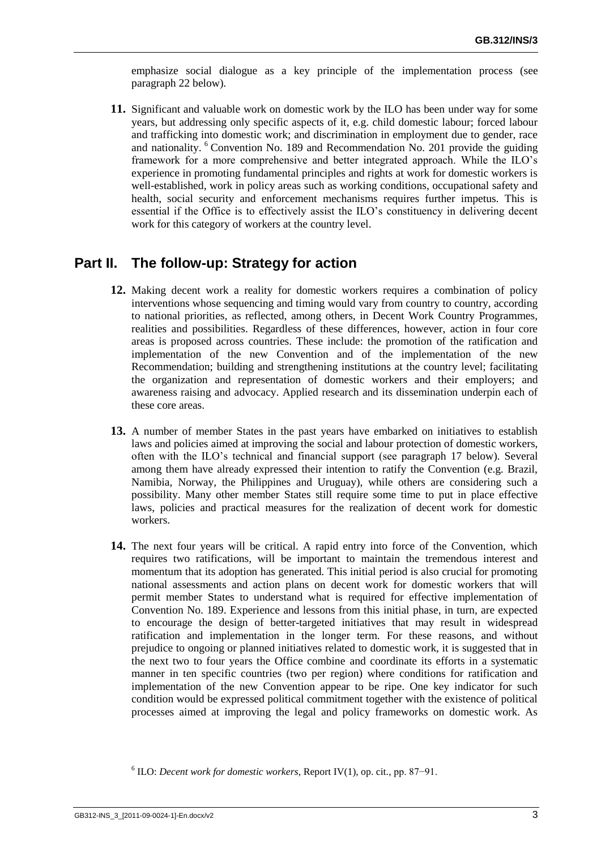emphasize social dialogue as a key principle of the implementation process (see paragraph 22 below).

**11.** Significant and valuable work on domestic work by the ILO has been under way for some years, but addressing only specific aspects of it, e.g. child domestic labour; forced labour and trafficking into domestic work; and discrimination in employment due to gender, race and nationality. <sup>6</sup> Convention No. 189 and Recommendation No. 201 provide the guiding framework for a more comprehensive and better integrated approach. While the ILO's experience in promoting fundamental principles and rights at work for domestic workers is well-established, work in policy areas such as working conditions, occupational safety and health, social security and enforcement mechanisms requires further impetus. This is essential if the Office is to effectively assist the ILO's constituency in delivering decent work for this category of workers at the country level.

#### **Part II. The follow-up: Strategy for action**

- **12.** Making decent work a reality for domestic workers requires a combination of policy interventions whose sequencing and timing would vary from country to country, according to national priorities, as reflected, among others, in Decent Work Country Programmes, realities and possibilities. Regardless of these differences, however, action in four core areas is proposed across countries. These include: the promotion of the ratification and implementation of the new Convention and of the implementation of the new Recommendation; building and strengthening institutions at the country level; facilitating the organization and representation of domestic workers and their employers; and awareness raising and advocacy. Applied research and its dissemination underpin each of these core areas.
- **13.** A number of member States in the past years have embarked on initiatives to establish laws and policies aimed at improving the social and labour protection of domestic workers, often with the ILO's technical and financial support (see paragraph 17 below). Several among them have already expressed their intention to ratify the Convention (e.g. Brazil, Namibia, Norway, the Philippines and Uruguay), while others are considering such a possibility. Many other member States still require some time to put in place effective laws, policies and practical measures for the realization of decent work for domestic workers.
- **14.** The next four years will be critical. A rapid entry into force of the Convention, which requires two ratifications, will be important to maintain the tremendous interest and momentum that its adoption has generated. This initial period is also crucial for promoting national assessments and action plans on decent work for domestic workers that will permit member States to understand what is required for effective implementation of Convention No. 189. Experience and lessons from this initial phase, in turn, are expected to encourage the design of better-targeted initiatives that may result in widespread ratification and implementation in the longer term. For these reasons, and without prejudice to ongoing or planned initiatives related to domestic work, it is suggested that in the next two to four years the Office combine and coordinate its efforts in a systematic manner in ten specific countries (two per region) where conditions for ratification and implementation of the new Convention appear to be ripe. One key indicator for such condition would be expressed political commitment together with the existence of political processes aimed at improving the legal and policy frameworks on domestic work. As

<sup>6</sup> ILO: *Decent work for domestic workers*, Report IV(1), op. cit., pp. 87−91.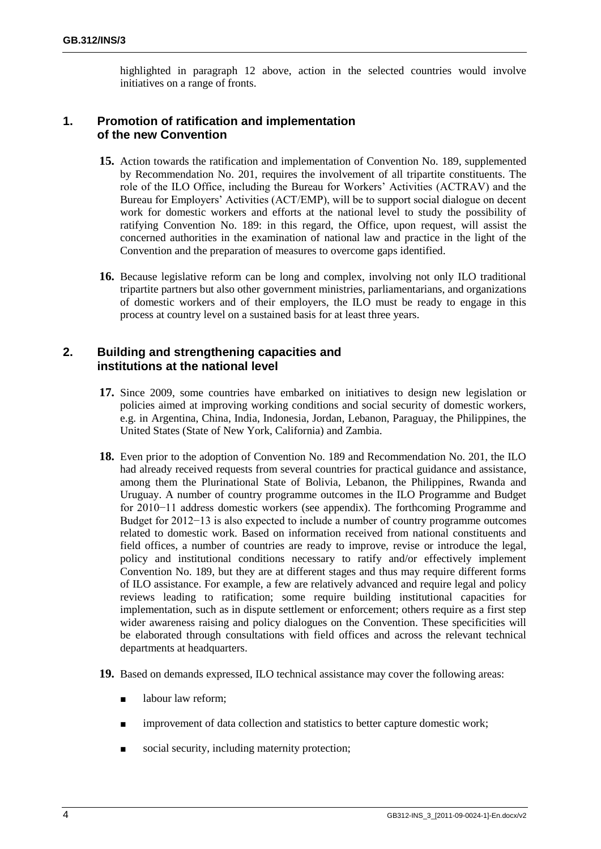highlighted in paragraph 12 above, action in the selected countries would involve initiatives on a range of fronts.

#### **1. Promotion of ratification and implementation of the new Convention**

- **15.** Action towards the ratification and implementation of Convention No. 189, supplemented by Recommendation No. 201, requires the involvement of all tripartite constituents. The role of the ILO Office, including the Bureau for Workers' Activities (ACTRAV) and the Bureau for Employers' Activities (ACT/EMP), will be to support social dialogue on decent work for domestic workers and efforts at the national level to study the possibility of ratifying Convention No. 189: in this regard, the Office, upon request, will assist the concerned authorities in the examination of national law and practice in the light of the Convention and the preparation of measures to overcome gaps identified.
- **16.** Because legislative reform can be long and complex, involving not only ILO traditional tripartite partners but also other government ministries, parliamentarians, and organizations of domestic workers and of their employers, the ILO must be ready to engage in this process at country level on a sustained basis for at least three years.

#### **2. Building and strengthening capacities and institutions at the national level**

- **17.** Since 2009, some countries have embarked on initiatives to design new legislation or policies aimed at improving working conditions and social security of domestic workers, e.g. in Argentina, China, India, Indonesia, Jordan, Lebanon, Paraguay, the Philippines, the United States (State of New York, California) and Zambia.
- **18.** Even prior to the adoption of Convention No. 189 and Recommendation No. 201, the ILO had already received requests from several countries for practical guidance and assistance, among them the Plurinational State of Bolivia, Lebanon, the Philippines, Rwanda and Uruguay. A number of country programme outcomes in the ILO Programme and Budget for 2010−11 address domestic workers (see appendix). The forthcoming Programme and Budget for 2012−13 is also expected to include a number of country programme outcomes related to domestic work. Based on information received from national constituents and field offices, a number of countries are ready to improve, revise or introduce the legal, policy and institutional conditions necessary to ratify and/or effectively implement Convention No. 189, but they are at different stages and thus may require different forms of ILO assistance. For example, a few are relatively advanced and require legal and policy reviews leading to ratification; some require building institutional capacities for implementation, such as in dispute settlement or enforcement; others require as a first step wider awareness raising and policy dialogues on the Convention. These specificities will be elaborated through consultations with field offices and across the relevant technical departments at headquarters.
- **19.** Based on demands expressed, ILO technical assistance may cover the following areas:
	- labour law reform;
	- improvement of data collection and statistics to better capture domestic work;
	- social security, including maternity protection;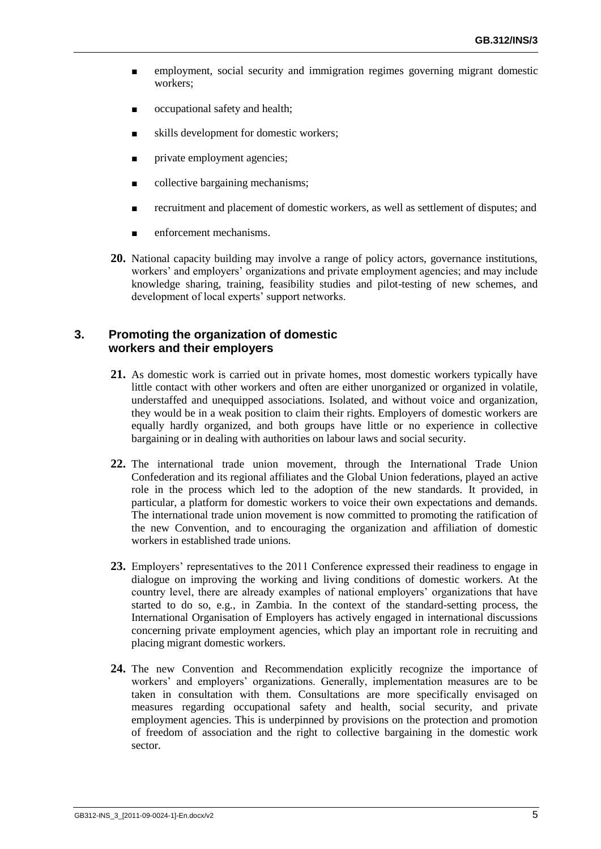- employment, social security and immigration regimes governing migrant domestic workers;
- occupational safety and health;
- skills development for domestic workers;
- private employment agencies;
- collective bargaining mechanisms;
- recruitment and placement of domestic workers, as well as settlement of disputes; and
- enforcement mechanisms.
- **20.** National capacity building may involve a range of policy actors, governance institutions, workers' and employers' organizations and private employment agencies; and may include knowledge sharing, training, feasibility studies and pilot-testing of new schemes, and development of local experts' support networks.

#### **3. Promoting the organization of domestic workers and their employers**

- **21.** As domestic work is carried out in private homes, most domestic workers typically have little contact with other workers and often are either unorganized or organized in volatile, understaffed and unequipped associations. Isolated, and without voice and organization, they would be in a weak position to claim their rights. Employers of domestic workers are equally hardly organized, and both groups have little or no experience in collective bargaining or in dealing with authorities on labour laws and social security.
- **22.** The international trade union movement, through the International Trade Union Confederation and its regional affiliates and the Global Union federations, played an active role in the process which led to the adoption of the new standards. It provided, in particular, a platform for domestic workers to voice their own expectations and demands. The international trade union movement is now committed to promoting the ratification of the new Convention, and to encouraging the organization and affiliation of domestic workers in established trade unions.
- **23.** Employers' representatives to the 2011 Conference expressed their readiness to engage in dialogue on improving the working and living conditions of domestic workers. At the country level, there are already examples of national employers' organizations that have started to do so, e.g., in Zambia. In the context of the standard-setting process, the International Organisation of Employers has actively engaged in international discussions concerning private employment agencies, which play an important role in recruiting and placing migrant domestic workers.
- **24.** The new Convention and Recommendation explicitly recognize the importance of workers' and employers' organizations. Generally, implementation measures are to be taken in consultation with them. Consultations are more specifically envisaged on measures regarding occupational safety and health, social security, and private employment agencies. This is underpinned by provisions on the protection and promotion of freedom of association and the right to collective bargaining in the domestic work sector.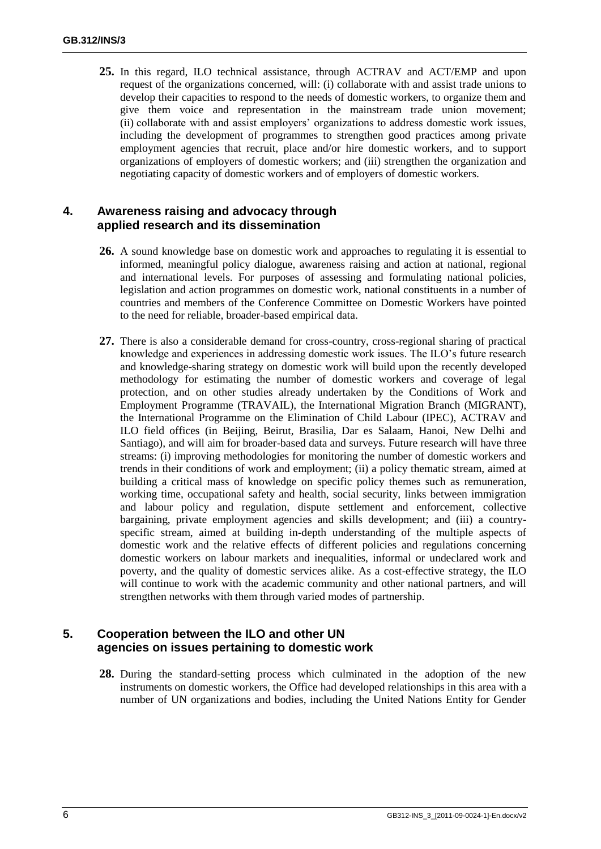**25.** In this regard, ILO technical assistance, through ACTRAV and ACT/EMP and upon request of the organizations concerned, will: (i) collaborate with and assist trade unions to develop their capacities to respond to the needs of domestic workers, to organize them and give them voice and representation in the mainstream trade union movement; (ii) collaborate with and assist employers' organizations to address domestic work issues, including the development of programmes to strengthen good practices among private employment agencies that recruit, place and/or hire domestic workers, and to support organizations of employers of domestic workers; and (iii) strengthen the organization and negotiating capacity of domestic workers and of employers of domestic workers.

#### **4. Awareness raising and advocacy through applied research and its dissemination**

- **26.** A sound knowledge base on domestic work and approaches to regulating it is essential to informed, meaningful policy dialogue, awareness raising and action at national, regional and international levels. For purposes of assessing and formulating national policies, legislation and action programmes on domestic work, national constituents in a number of countries and members of the Conference Committee on Domestic Workers have pointed to the need for reliable, broader-based empirical data.
- **27.** There is also a considerable demand for cross-country, cross-regional sharing of practical knowledge and experiences in addressing domestic work issues. The ILO's future research and knowledge-sharing strategy on domestic work will build upon the recently developed methodology for estimating the number of domestic workers and coverage of legal protection, and on other studies already undertaken by the Conditions of Work and Employment Programme (TRAVAIL), the International Migration Branch (MIGRANT), the International Programme on the Elimination of Child Labour (IPEC), ACTRAV and ILO field offices (in Beijing, Beirut, Brasilia, Dar es Salaam, Hanoi, New Delhi and Santiago), and will aim for broader-based data and surveys. Future research will have three streams: (i) improving methodologies for monitoring the number of domestic workers and trends in their conditions of work and employment; (ii) a policy thematic stream, aimed at building a critical mass of knowledge on specific policy themes such as remuneration, working time, occupational safety and health, social security, links between immigration and labour policy and regulation, dispute settlement and enforcement, collective bargaining, private employment agencies and skills development; and (iii) a countryspecific stream, aimed at building in-depth understanding of the multiple aspects of domestic work and the relative effects of different policies and regulations concerning domestic workers on labour markets and inequalities, informal or undeclared work and poverty, and the quality of domestic services alike. As a cost-effective strategy, the ILO will continue to work with the academic community and other national partners, and will strengthen networks with them through varied modes of partnership.

#### **5. Cooperation between the ILO and other UN agencies on issues pertaining to domestic work**

**28.** During the standard-setting process which culminated in the adoption of the new instruments on domestic workers, the Office had developed relationships in this area with a number of UN organizations and bodies, including the United Nations Entity for Gender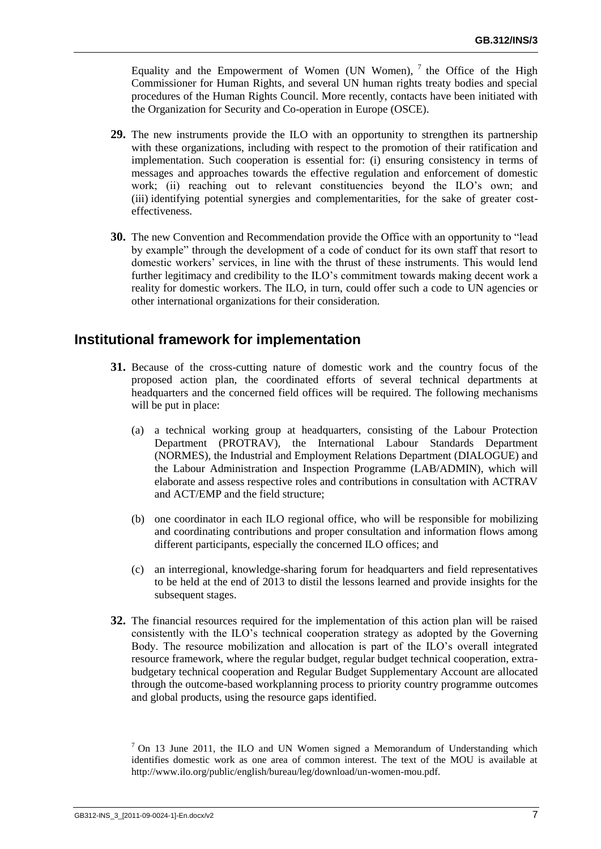Equality and the Empowerment of Women (UN Women),  $^7$  the Office of the High Commissioner for Human Rights, and several UN human rights treaty bodies and special procedures of the Human Rights Council. More recently, contacts have been initiated with the Organization for Security and Co-operation in Europe (OSCE).

- **29.** The new instruments provide the ILO with an opportunity to strengthen its partnership with these organizations, including with respect to the promotion of their ratification and implementation. Such cooperation is essential for: (i) ensuring consistency in terms of messages and approaches towards the effective regulation and enforcement of domestic work; (ii) reaching out to relevant constituencies beyond the ILO's own; and (iii) identifying potential synergies and complementarities, for the sake of greater costeffectiveness.
- **30.** The new Convention and Recommendation provide the Office with an opportunity to "lead by example" through the development of a code of conduct for its own staff that resort to domestic workers' services, in line with the thrust of these instruments. This would lend further legitimacy and credibility to the ILO's commitment towards making decent work a reality for domestic workers. The ILO, in turn, could offer such a code to UN agencies or other international organizations for their consideration.

#### **Institutional framework for implementation**

- **31.** Because of the cross-cutting nature of domestic work and the country focus of the proposed action plan, the coordinated efforts of several technical departments at headquarters and the concerned field offices will be required. The following mechanisms will be put in place:
	- (a) a technical working group at headquarters, consisting of the Labour Protection Department (PROTRAV), the International Labour Standards Department (NORMES), the Industrial and Employment Relations Department (DIALOGUE) and the Labour Administration and Inspection Programme (LAB/ADMIN), which will elaborate and assess respective roles and contributions in consultation with ACTRAV and ACT/EMP and the field structure;
	- (b) one coordinator in each ILO regional office, who will be responsible for mobilizing and coordinating contributions and proper consultation and information flows among different participants, especially the concerned ILO offices; and
	- (c) an interregional, knowledge-sharing forum for headquarters and field representatives to be held at the end of 2013 to distil the lessons learned and provide insights for the subsequent stages.
- **32.** The financial resources required for the implementation of this action plan will be raised consistently with the ILO's technical cooperation strategy as adopted by the Governing Body. The resource mobilization and allocation is part of the ILO's overall integrated resource framework, where the regular budget, regular budget technical cooperation, extrabudgetary technical cooperation and Regular Budget Supplementary Account are allocated through the outcome-based workplanning process to priority country programme outcomes and global products, using the resource gaps identified.

 $7$  On 13 June 2011, the ILO and UN Women signed a Memorandum of Understanding which identifies domestic work as one area of common interest. The text of the MOU is available at http://www.ilo.org/public/english/bureau/leg/download/un-women-mou.pdf.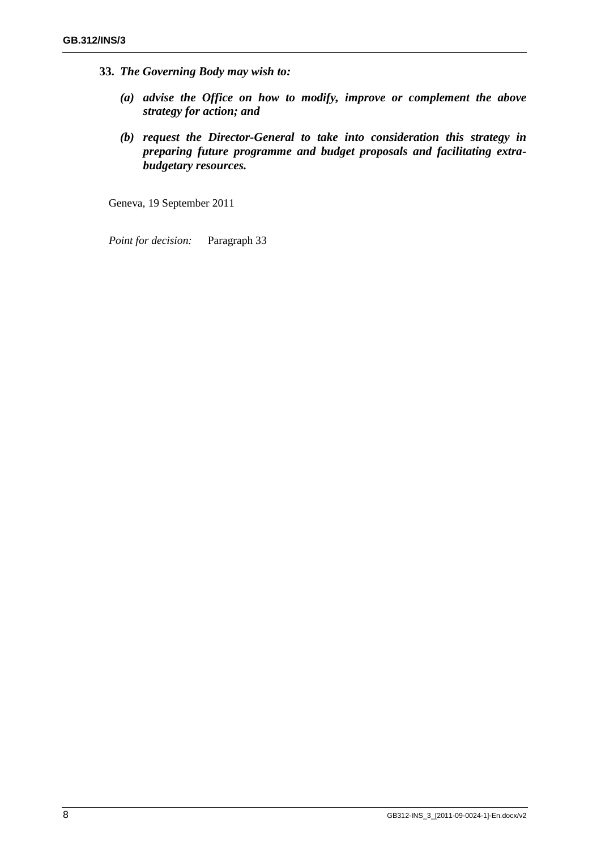- **33.** *The Governing Body may wish to:*
	- *(a) advise the Office on how to modify, improve or complement the above strategy for action; and*
	- *(b) request the Director-General to take into consideration this strategy in preparing future programme and budget proposals and facilitating extrabudgetary resources.*

Geneva, 19 September 2011

*Point for decision:* Paragraph 33